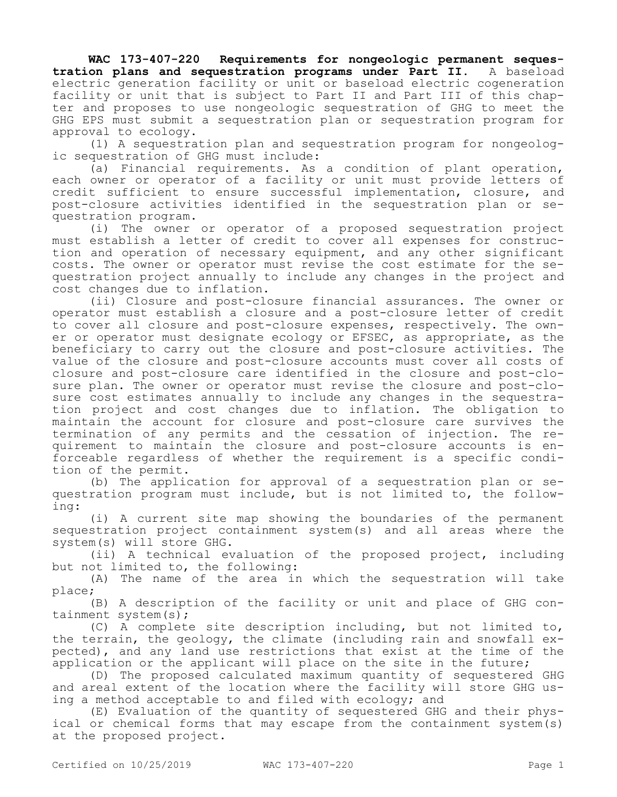**WAC 173-407-220 Requirements for nongeologic permanent sequestration plans and sequestration programs under Part II.** A baseload electric generation facility or unit or baseload electric cogeneration facility or unit that is subject to Part II and Part III of this chapter and proposes to use nongeologic sequestration of GHG to meet the GHG EPS must submit a sequestration plan or sequestration program for approval to ecology.

(1) A sequestration plan and sequestration program for nongeologic sequestration of GHG must include:

(a) Financial requirements. As a condition of plant operation, each owner or operator of a facility or unit must provide letters of credit sufficient to ensure successful implementation, closure, and post-closure activities identified in the sequestration plan or sequestration program.

(i) The owner or operator of a proposed sequestration project must establish a letter of credit to cover all expenses for construction and operation of necessary equipment, and any other significant costs. The owner or operator must revise the cost estimate for the sequestration project annually to include any changes in the project and cost changes due to inflation.

(ii) Closure and post-closure financial assurances. The owner or operator must establish a closure and a post-closure letter of credit to cover all closure and post-closure expenses, respectively. The owner or operator must designate ecology or EFSEC, as appropriate, as the beneficiary to carry out the closure and post-closure activities. The value of the closure and post-closure accounts must cover all costs of closure and post-closure care identified in the closure and post-closure plan. The owner or operator must revise the closure and post-closure cost estimates annually to include any changes in the sequestration project and cost changes due to inflation. The obligation to maintain the account for closure and post-closure care survives the termination of any permits and the cessation of injection. The requirement to maintain the closure and post-closure accounts is enforceable regardless of whether the requirement is a specific condition of the permit.

(b) The application for approval of a sequestration plan or sequestration program must include, but is not limited to, the following:

(i) A current site map showing the boundaries of the permanent sequestration project containment system(s) and all areas where the system(s) will store GHG.

(ii) A technical evaluation of the proposed project, including but not limited to, the following:

(A) The name of the area in which the sequestration will take place;

(B) A description of the facility or unit and place of GHG containment system(s);

(C) A complete site description including, but not limited to, the terrain, the geology, the climate (including rain and snowfall expected), and any land use restrictions that exist at the time of the application or the applicant will place on the site in the future;

(D) The proposed calculated maximum quantity of sequestered GHG and areal extent of the location where the facility will store GHG using a method acceptable to and filed with ecology; and

(E) Evaluation of the quantity of sequestered GHG and their physical or chemical forms that may escape from the containment system(s) at the proposed project.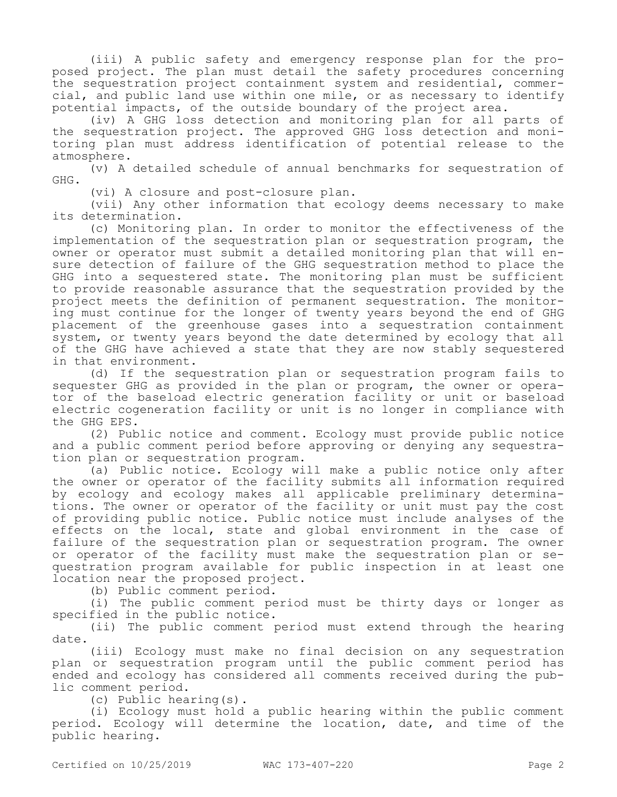(iii) A public safety and emergency response plan for the proposed project. The plan must detail the safety procedures concerning the sequestration project containment system and residential, commercial, and public land use within one mile, or as necessary to identify potential impacts, of the outside boundary of the project area.

(iv) A GHG loss detection and monitoring plan for all parts of the sequestration project. The approved GHG loss detection and monitoring plan must address identification of potential release to the atmosphere.

(v) A detailed schedule of annual benchmarks for sequestration of GHG.

(vi) A closure and post-closure plan.

(vii) Any other information that ecology deems necessary to make its determination.

(c) Monitoring plan. In order to monitor the effectiveness of the implementation of the sequestration plan or sequestration program, the owner or operator must submit a detailed monitoring plan that will ensure detection of failure of the GHG sequestration method to place the GHG into a sequestered state. The monitoring plan must be sufficient to provide reasonable assurance that the sequestration provided by the project meets the definition of permanent sequestration. The monitoring must continue for the longer of twenty years beyond the end of GHG placement of the greenhouse gases into a sequestration containment system, or twenty years beyond the date determined by ecology that all of the GHG have achieved a state that they are now stably sequestered in that environment.

(d) If the sequestration plan or sequestration program fails to sequester GHG as provided in the plan or program, the owner or operator of the baseload electric generation facility or unit or baseload electric cogeneration facility or unit is no longer in compliance with the GHG EPS.

(2) Public notice and comment. Ecology must provide public notice and a public comment period before approving or denying any sequestration plan or sequestration program.

(a) Public notice. Ecology will make a public notice only after the owner or operator of the facility submits all information required by ecology and ecology makes all applicable preliminary determinations. The owner or operator of the facility or unit must pay the cost of providing public notice. Public notice must include analyses of the effects on the local, state and global environment in the case of failure of the sequestration plan or sequestration program. The owner or operator of the facility must make the sequestration plan or sequestration program available for public inspection in at least one location near the proposed project.

(b) Public comment period.

(i) The public comment period must be thirty days or longer as specified in the public notice.

(ii) The public comment period must extend through the hearing date.

(iii) Ecology must make no final decision on any sequestration plan or sequestration program until the public comment period has ended and ecology has considered all comments received during the public comment period.

(c) Public hearing(s).

(i) Ecology must hold a public hearing within the public comment period. Ecology will determine the location, date, and time of the public hearing.